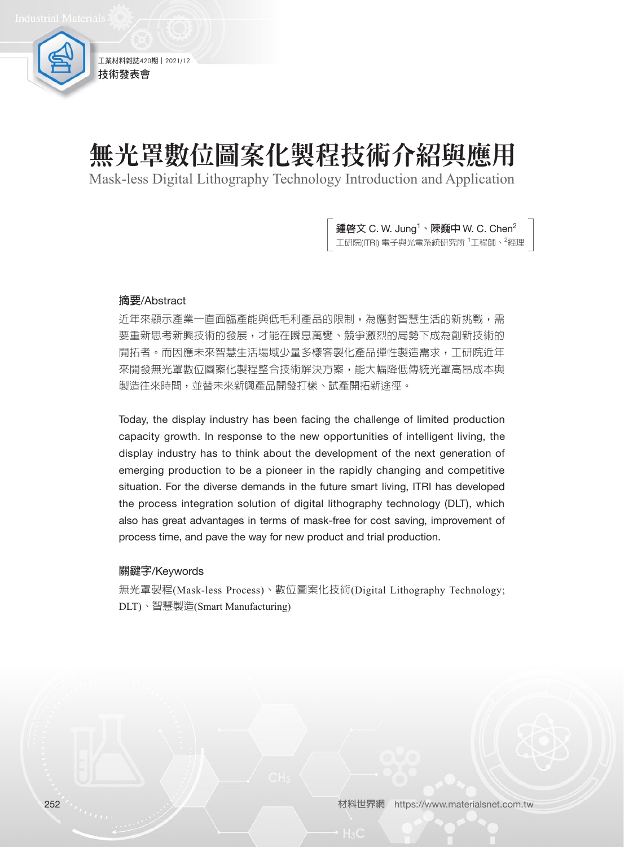工業材料雜誌420期 | 2021/12 技術發表會

# 無光罩數位圖案化製程技術介紹與應用

Mask-less Digital Lithography Technology Introduction and Application

鍾啓文 C. W. Jung<sup>1</sup>、陳巍中 W. C. Chen<sup>2</sup> 工研院(ITRI) 電子與光電系統研究所 <sup>1</sup>工程師、<sup>2</sup>經理

#### **摘要**/Abstract

近年來顯示產業一直面臨產能與低毛利產品的限制,為應對智慧生活的新挑戰,需 要重新思考新興技術的發展,才能在瞬息萬變、競爭激烈的局勢下成為創新技術的 開拓者。而因應未來智慧生活場域少量多樣客製化產品彈性製造需求,工研院近年 來開發無光罩數位圖案化製程整合技術解決方案,能大幅降低傳統光罩高昂成本與 製造往來時間,並替未來新興產品開發打樣、試產開拓新途徑。

Today, the display industry has been facing the challenge of limited production capacity growth. In response to the new opportunities of intelligent living, the display industry has to think about the development of the next generation of emerging production to be a pioneer in the rapidly changing and competitive situation. For the diverse demands in the future smart living, ITRI has developed the process integration solution of digital lithography technology (DLT), which also has great advantages in terms of mask-free for cost saving, improvement of process time, and pave the way for new product and trial production.

#### **關鍵字**/Keywords

無光罩製程(Mask-less Process)、數位圖案化技術(Digital Lithography Technology; DLT)、智慧製造(Smart Manufacturing)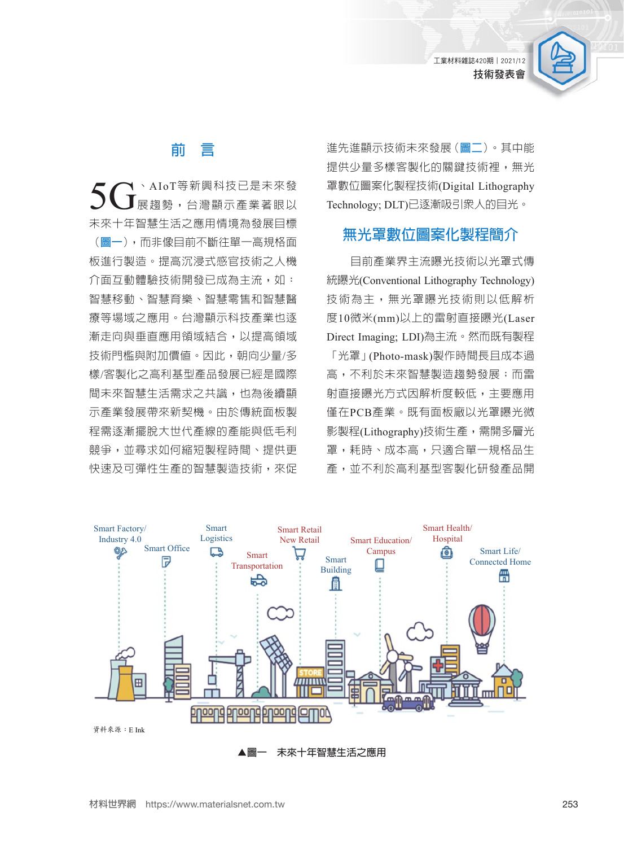工業材料雜誌420期︱2021/12 技術發表會



### **前 言**

 $\mathbf{5G}^{\text{AIoT}}$ 等新興科技已是未來發 未來十年智慧生活之應用情境為發展目標 (**圖一**),而非像目前不斷往單一高規格面 板進行製造。提高沉浸式感官技術之人機 介面互動體驗技術開發已成為主流,如: 智慧移動、智慧育樂、智慧零售和智慧醫 療等場域之應用。台灣顯示科技產業也逐 漸走向與垂直應用領域結合,以提高領域 技術門檻與附加價值。因此,朝向少量/多 樣/客製化之高利基型產品發展已經是國際 間未來智慧生活需求之共識,也為後續顯 示產業發展帶來新契機。由於傳統面板製 程需逐漸擺脫大世代產線的產能與低毛利 競爭,並尋求如何縮短製程時間、提供更 快速及可彈性生產的智慧製造技術,來促 進先進顯示技術未來發展(**圖二**)。其中能 提供少量多樣客製化的關鍵技術裡,無光 罩數位圖案化製程技術(Digital Lithography Technology; DLT)已逐漸吸引眾人的目光。

## **無光罩數位圖案化製程簡介**

目前產業界主流曝光技術以光罩式傳 統曝光(Conventional Lithography Technology) 技術為主,無光罩曝光技術則以低解析 度10微米(mm)以上的雷射直接曝光(Laser Direct Imaging; LDI)為主流。然而既有製程 「光罩」(Photo-mask)製作時間長且成本過 高,不利於未來智慧製造趨勢發展;而雷 射直接曝光方式因解析度較低,主要應用 僅在PCB產業。既有面板廠以光罩曝光微 影製程(Lithography)技術生產,需開多層光 罩,耗時、成本高,只適合單一規格品生 產,並不利於高利基型客製化研發產品開



**▲圖一 未來十年智慧生活之應用**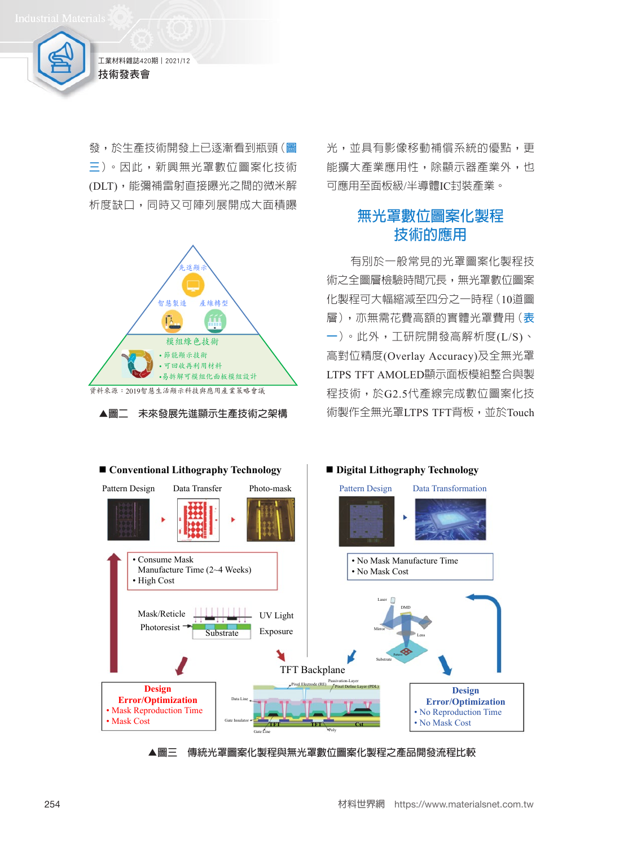

發,於生產技術開發上已逐漸看到瓶頸(**圖 三**)。因此,新興無光罩數位圖案化技術 (DLT),能彌補雷射直接曝光之間的微米解 析度缺口,同時又可陣列展開成大面積曝



**▲圖二 未來發展先進顯示生產技術之架構**

光,並具有影像移動補償系統的優點,更 能擴大產業應用性,除顯示器產業外,也 可應用至面板級/半導體IC封裝產業。

## **無光罩數位圖案化製程 技術的應用**

有別於一般常見的光罩圖案化製程技 術之全圖層檢驗時間冗長,無光罩數位圖案 化製程可大幅縮減至四分之一時程(10道圖 層),亦無需花費高額的實體光罩費用(**表 一**)。此外,工研院開發高解析度(L/S)、 高對位精度(Overlay Accuracy)及全無光罩 LTPS TFT AMOLED顯示面板模組整合與製 程技術,於G2.5代產線完成數位圖案化技 術製作全無光罩LTPS TFT背板,並於Touch



**▲圖三 傳統光罩圖案化製程與無光罩數位圖案化製程之產品開發流程比較**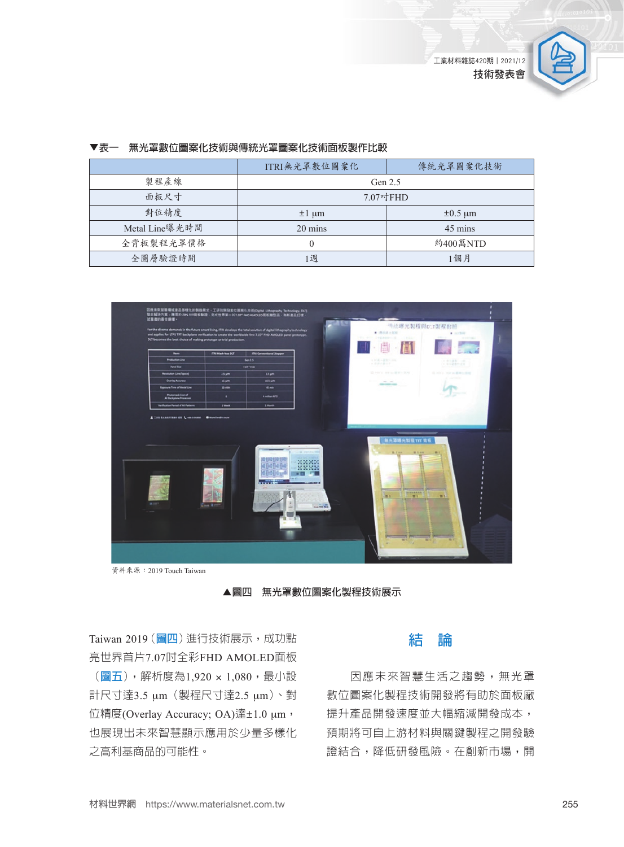

|                | ITRI無光罩數位圖案化 | 傳統光罩圖案化技術    |
|----------------|--------------|--------------|
| 製程產線           | Gen $2.5$    |              |
| 面板尺寸           | 7.07吋FHD     |              |
| 對位精度           | $\pm 1$ um   | $\pm 0.5$ µm |
| Metal Line曝光時間 | 20 mins      | 45 mins      |
| 全背板製程光罩價格      |              | 約400萬NTD     |
| 全圖層驗證時間        | 週            | 1個月          |

#### **▼表一 無光罩數位圖案化技術與傳統光罩圖案化技術面板製作比較**



資料來源:2019 Touch Taiwan

**▲圖四 無光罩數位圖案化製程技術展示**

Taiwan 2019 (**圖四**)進行技術展示, 成功點 亮世界首片7.07吋全彩FHD AMOLED面板 (**圖五**),解析度為1,920 × 1,080,最小設

計尺寸達3.5 μm(製程尺寸達2.5 μm)、對 位精度(Overlay Accuracy; OA)達±1.0 μm, 也展現出未來智慧顯示應用於少量多樣化 之高利基商品的可能性。

### **結 論**

因應未來智慧生活之趨勢,無光罩 數位圖案化製程技術開發將有助於面板廠 提升產品開發速度並大幅縮減開發成本, 預期將可自上游材料與關鍵製程之開發驗 證結合,降低研發風險。在創新市場,開